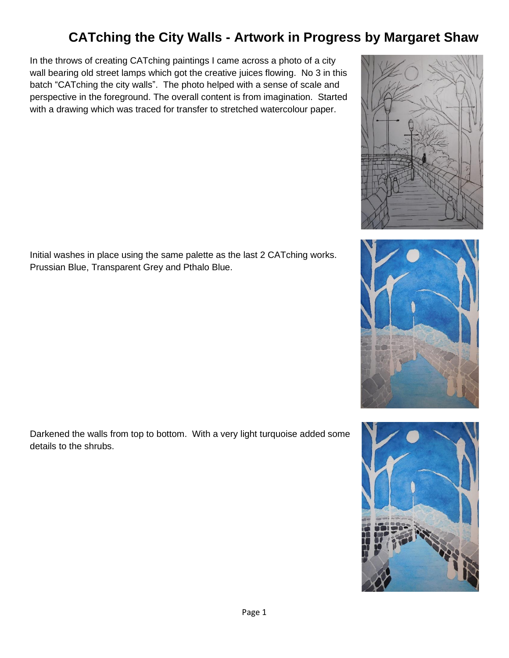In the throws of creating CATching paintings I came across a photo of a city wall bearing old street lamps which got the creative juices flowing. No 3 in this batch "CATching the city walls". The photo helped with a sense of scale and perspective in the foreground. The overall content is from imagination. Started with a drawing which was traced for transfer to stretched watercolour paper.

Initial washes in place using the same palette as the last 2 CATching works. Prussian Blue, Transparent Grey and Pthalo Blue.

Darkened the walls from top to bottom. With a very light turquoise added some details to the shrubs.





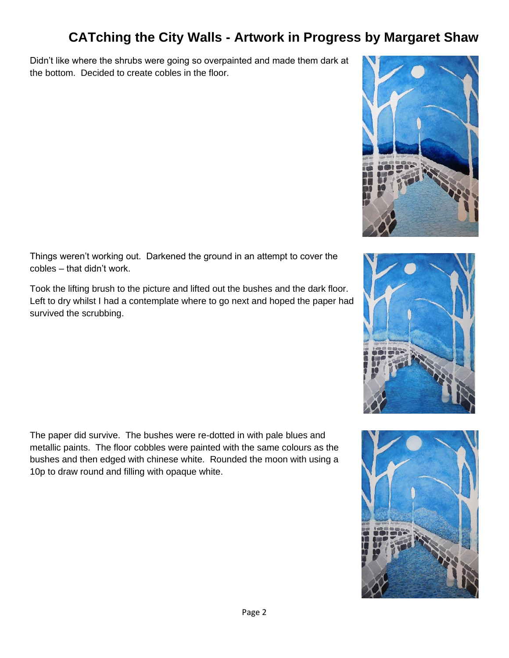Didn't like where the shrubs were going so overpainted and made them dark at the bottom. Decided to create cobles in the floor.



Things weren't working out. Darkened the ground in an attempt to cover the cobles – that didn't work.

Took the lifting brush to the picture and lifted out the bushes and the dark floor. Left to dry whilst I had a contemplate where to go next and hoped the paper had survived the scrubbing.

The paper did survive. The bushes were re-dotted in with pale blues and metallic paints. The floor cobbles were painted with the same colours as the bushes and then edged with chinese white. Rounded the moon with using a 10p to draw round and filling with opaque white.

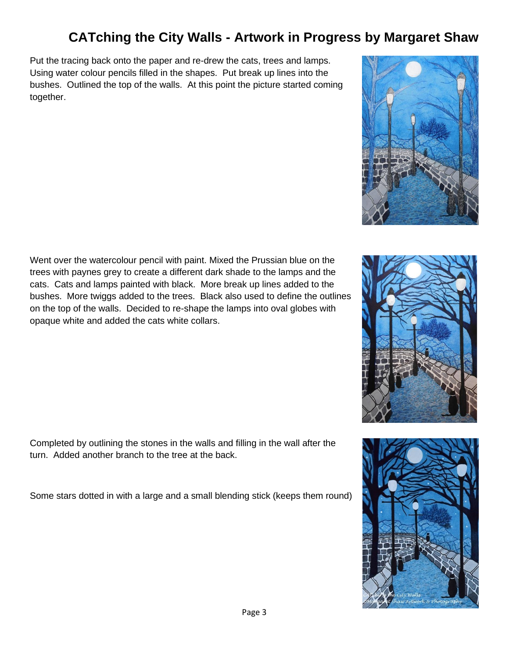Put the tracing back onto the paper and re-drew the cats, trees and lamps. Using water colour pencils filled in the shapes. Put break up lines into the bushes. Outlined the top of the walls. At this point the picture started coming together.

Went over the watercolour pencil with paint. Mixed the Prussian blue on the trees with paynes grey to create a different dark shade to the lamps and the cats. Cats and lamps painted with black. More break up lines added to the bushes. More twiggs added to the trees. Black also used to define the outlines on the top of the walls. Decided to re-shape the lamps into oval globes with opaque white and added the cats white collars.

Completed by outlining the stones in the walls and filling in the wall after the turn. Added another branch to the tree at the back.

Some stars dotted in with a large and a small blending stick (keeps them round)